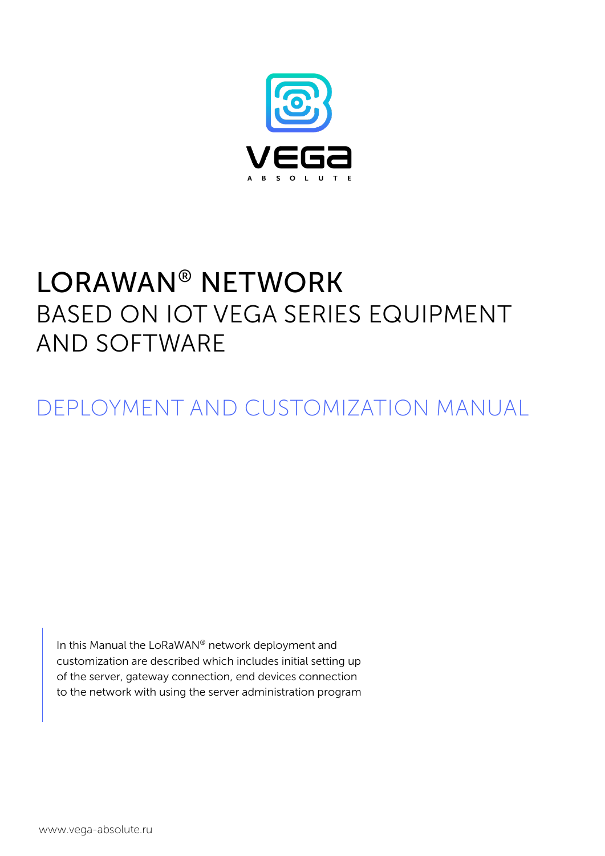

# LORAWAN® NETWORK BASED ON IOT VEGA SERIES EQUIPMENT AND SOFTWARE

DEPLOYMENT AND CUSTOMIZATION MANUAL

In this Manual the LoRaWAN® network deployment and customization are described which includes initial setting up of the server, gateway connection, end devices connection to the network with using the server administration program

www.vega-absolute.ru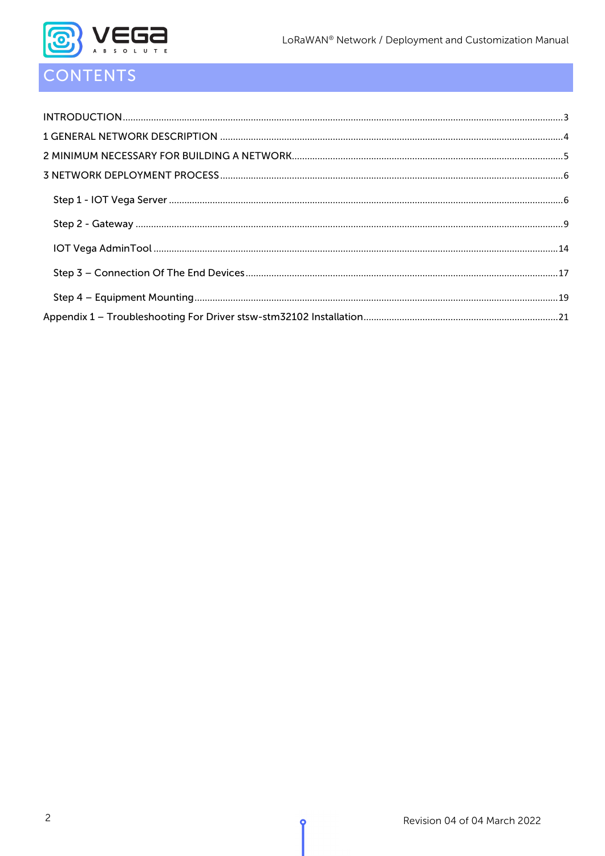

# CONTENTS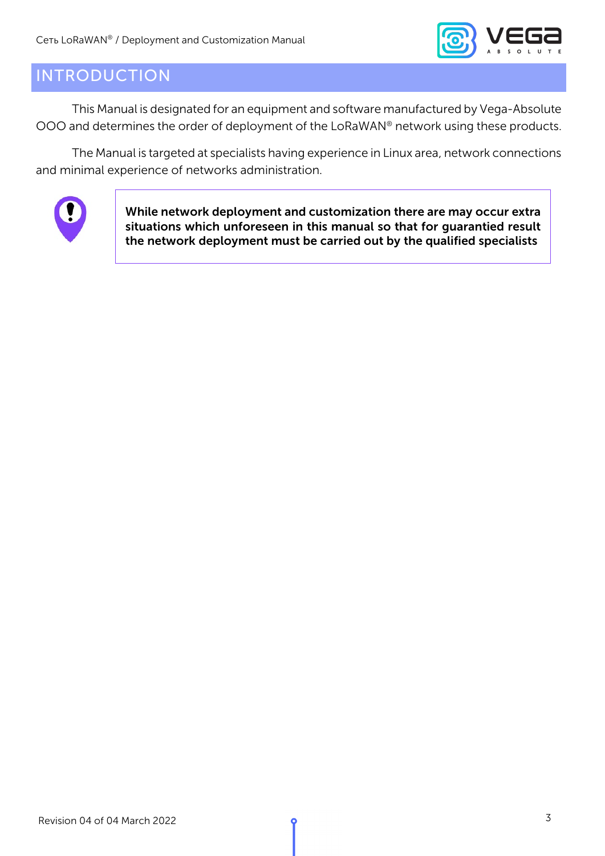

### <span id="page-2-0"></span>INTRODUCTION

This Manual is designated for an equipment and software manufactured by Vega-Absolute OOO and determines the order of deployment of the LoRaWAN® network using these products.

The Manual is targeted at specialists having experience in Linux area, network connections and minimal experience of networks administration.



While network deployment and customization there are may occur extra situations which unforeseen in this manual so that for guarantied result the network deployment must be carried out by the qualified specialists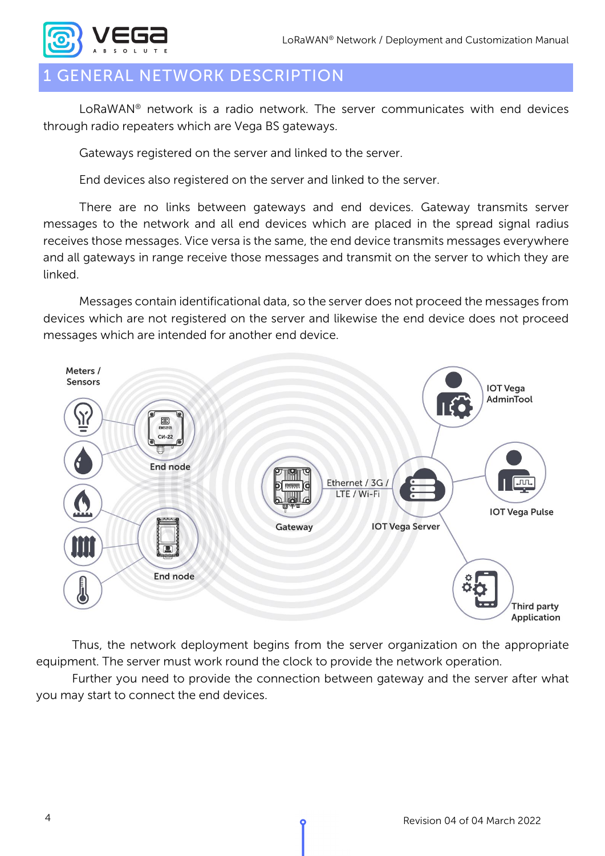

### <span id="page-3-0"></span>1 GENERAL NETWORK DESCRIPTION

LoRaWAN® network is a radio network. The server communicates with end devices through radio repeaters which are Vega BS gateways.

Gateways registered on the server and linked to the server.

End devices also registered on the server and linked to the server.

There are no links between gateways and end devices. Gateway transmits server messages to the network and all end devices which are placed in the spread signal radius receives those messages. Vice versa is the same, the end device transmits messages everywhere and all gateways in range receive those messages and transmit on the server to which they are linked.

Messages contain identificational data, so the server does not proceed the messages from devices which are not registered on the server and likewise the end device does not proceed messages which are intended for another end device.



Thus, the network deployment begins from the server organization on the appropriate equipment. The server must work round the clock to provide the network operation.

Further you need to provide the connection between gateway and the server after what you may start to connect the end devices.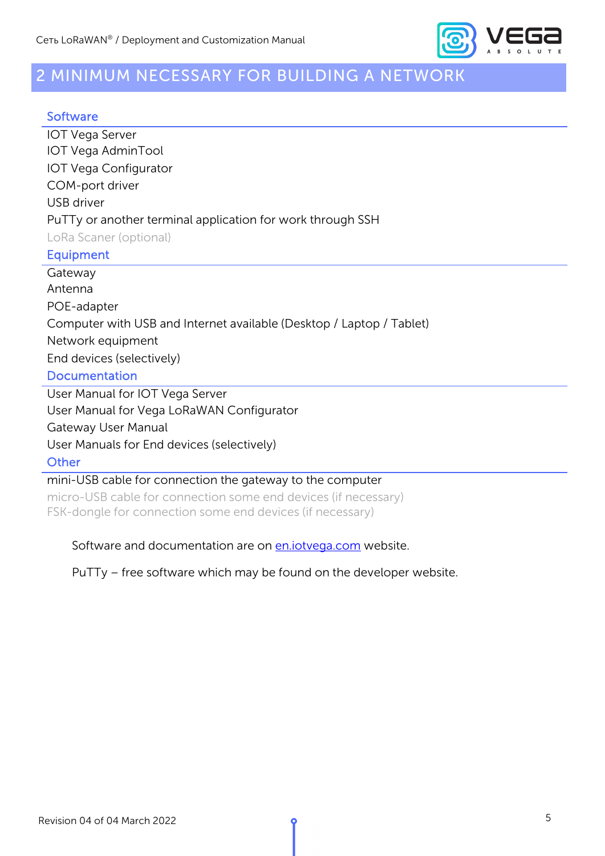

### <span id="page-4-0"></span>2 MINIMUM NECESSARY FOR BUILDING A NETWORK

### Software

| <b>IOT Vega Server</b>                                               |
|----------------------------------------------------------------------|
| <b>IOT Vega AdminTool</b>                                            |
| <b>IOT Vega Configurator</b>                                         |
| COM-port driver                                                      |
| USB driver                                                           |
| PuTTy or another terminal application for work through SSH           |
| LoRa Scaner (optional)                                               |
| <b>Equipment</b>                                                     |
| Gateway                                                              |
| Antenna                                                              |
| POE-adapter                                                          |
| Computer with USB and Internet available (Desktop / Laptop / Tablet) |
| Network equipment                                                    |
| End devices (selectively)                                            |
| <b>Documentation</b>                                                 |
| User Manual for IOT Vega Server                                      |
| User Manual for Vega LoRaWAN Configurator                            |
| Gateway User Manual                                                  |
| User Manuals for End devices (selectively)                           |
| Other                                                                |
| mini-USB cable for connection the gateway to the computer            |
| micro-USB cable for connection some end devices (if necessary)       |

FSK-dongle for connection some end devices (if necessary)

Software and documentation are on [en.iotvega.com](https://en.iotvega.com/) website.

PuTTy – free software which may be found on the developer website.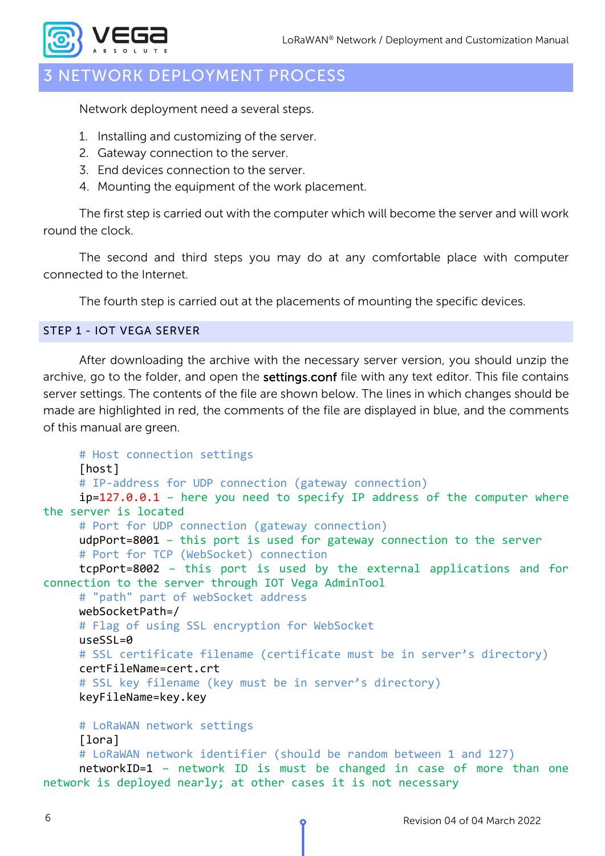

### <span id="page-5-0"></span>3 NETWORK DEPLOYMENT PROCESS

Network deployment need a several steps.

- 1. Installing and customizing of the server.
- 2. Gateway connection to the server.
- 3. End devices connection to the server.
- 4. Mounting the equipment of the work placement.

The first step is carried out with the computer which will become the server and will work round the clock.

The second and third steps you may do at any comfortable place with computer connected to the Internet.

The fourth step is carried out at the placements of mounting the specific devices.

#### <span id="page-5-1"></span>STEP 1 - IOT VEGA SERVER

After downloading the archive with the necessary server version, you should unzip the archive, go to the folder, and open the settings.conf file with any text editor. This file contains server settings. The contents of the file are shown below. The lines in which changes should be made are highlighted in red, the comments of the file are displayed in blue, and the comments of this manual are green.

```
# Host connection settings
     [host]
     # IP-address for UDP connection (gateway connection)
     ip=127.0.0.1 – here you need to specify IP address of the computer where 
the server is located
     # Port for UDP connection (gateway connection)
     udpPort=8001 – this port is used for gateway connection to the server
     # Port for TCP (WebSocket) connection
     tcpPort=8002 – this port is used by the external applications and for 
connection to the server through IOT Vega AdminTool
     # "path" part of webSocket address
     webSocketPath=/
     # Flag of using SSL encryption for WebSocket
     useSSL=0
     # SSL certificate filename (certificate must be in server's directory)
     certFileName=cert.crt
     # SSL key filename (key must be in server's directory)
     keyFileName=key.key
     # LoRaWAN network settings
     [lora]
     # LoRaWAN network identifier (should be random between 1 and 127)
     networkID=1 – network ID is must be changed in case of more than one
```
network is deployed nearly; at other cases it is not necessary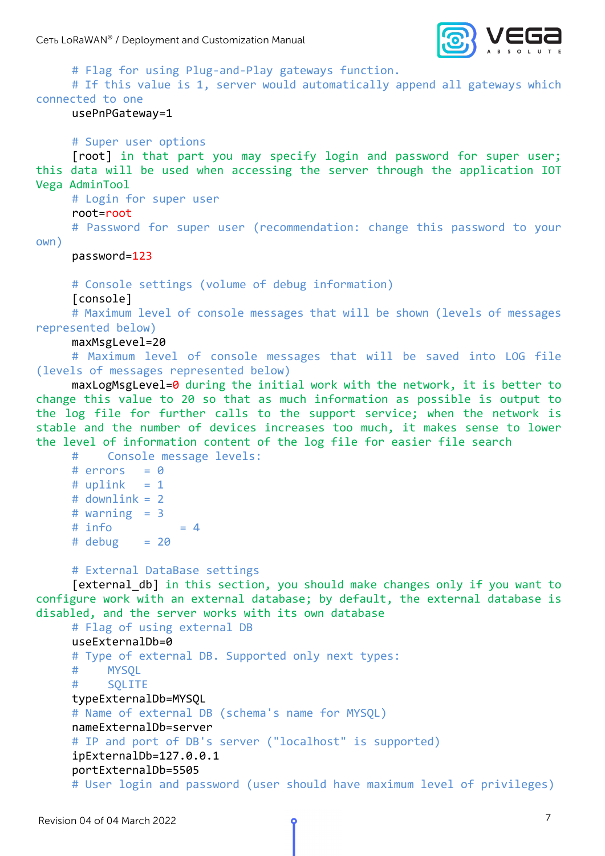

```
# Flag for using Plug-and-Play gateways function. 
     # If this value is 1, server would automatically append all gateways which 
connected to one
     usePnPGateway=1
     # Super user options
     [root] in that part you may specify login and password for super user;
this data will be used when accessing the server through the application IOT 
Vega AdminTool
     # Login for super user
     root=root
     # Password for super user (recommendation: change this password to your 
own)
     password=123
     # Console settings (volume of debug information)
     [console]
     # Maximum level of console messages that will be shown (levels of messages 
represented below)
     maxMsgLevel=20
     # Maximum level of console messages that will be saved into LOG file 
(levels of messages represented below)
     maxLogMsgLevel=0 during the initial work with the network, it is better to 
change this value to 20 so that as much information as possible is output to 
the log file for further calls to the support service; when the network is 
stable and the number of devices increases too much, it makes sense to lower 
the level of information content of the log file for easier file search
     # Console message levels:
     # errors = \theta\# uplink = 1
     \# downlink = 2
     # warning = 3
     # info = 4\# debug = 20
     # External DataBase settings
     [external db] in this section, you should make changes only if you want to
configure work with an external database; by default, the external database is 
disabled, and the server works with its own database
     # Flag of using external DB
     useExternalDb=0
     # Type of external DB. Supported only next types:
     # MYSQL
     # SQLITE
     typeExternalDb=MYSQL
     # Name of external DB (schema's name for MYSQL)
     nameExternalDb=server
     # IP and port of DB's server ("localhost" is supported)
     ipExternalDb=127.0.0.1
     portExternalDb=5505
     # User login and password (user should have maximum level of privileges)
```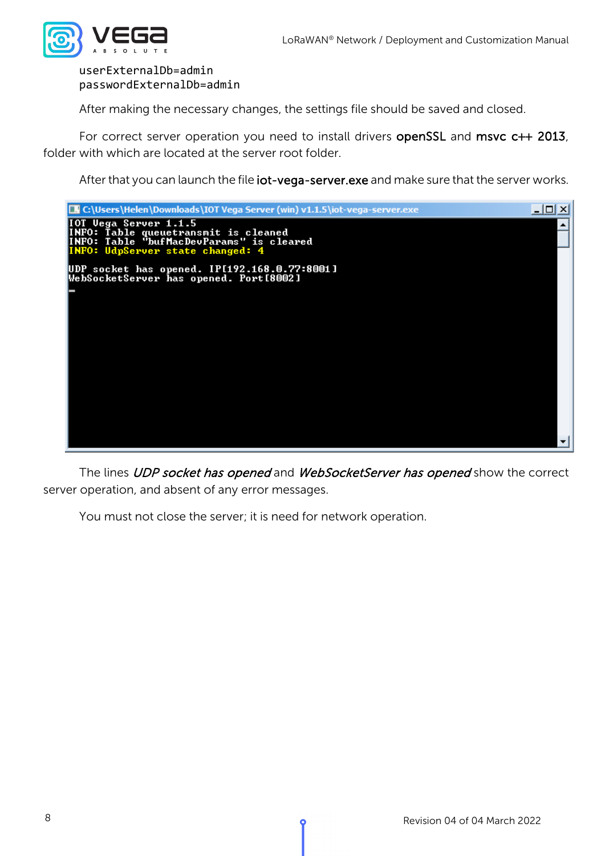

#### userExternalDb=admin passwordExternalDb=admin

After making the necessary changes, the settings file should be saved and closed.

For correct server operation you need to install drivers openSSL and msvc c++ 2013, folder with which are located at the server root folder.

After that you can launch the file iot-vega-server.exe and make sure that the server works.



The lines UDP socket has opened and WebSocketServer has opened show the correct server operation, and absent of any error messages.

You must not close the server; it is need for network operation.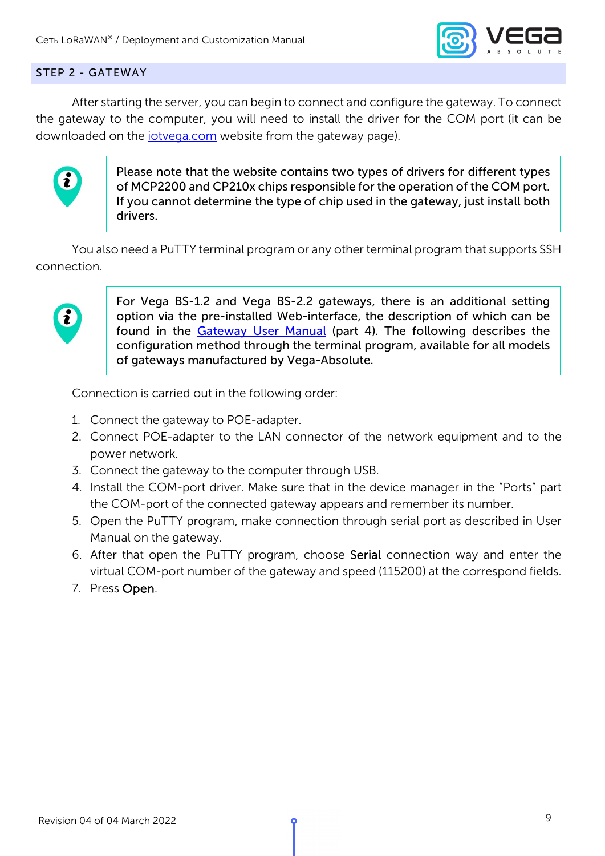

#### <span id="page-8-0"></span>STEP 2 - GATEWAY

After starting the server, you can begin to connect and configure the gateway. To connect the gateway to the computer, you will need to install the driver for the COM port (it can be downloaded on the *iotvega.com* website from the gateway page).



Please note that the website contains two types of drivers for different types of MCP2200 and CP210x chips responsible for the operation of the COM port. If you cannot determine the type of chip used in the gateway, just install both drivers.

You also need a PuTTY terminal program or any other terminal program that supports SSH connection.



For Vega BS-1.2 and Vega BS-2.2 gateways, there is an additional setting option via the pre-installed Web-interface, the description of which can be found in the **[Gateway User Manual](https://en.iotvega.com/product/bs01-2)** (part 4). The following describes the configuration method through the terminal program, available for all models of gateways manufactured by Vega-Absolute.

Connection is carried out in the following order:

- 1. Connect the gateway to POE-adapter.
- 2. Connect POE-adapter to the LAN connector of the network equipment and to the power network.
- 3. Connect the gateway to the computer through USB.
- 4. Install the COM-port driver. Make sure that in the device manager in the "Ports" part the COM-port of the connected gateway appears and remember its number.
- 5. Open the PuTTY program, make connection through serial port as described in User Manual on the gateway.
- 6. After that open the PuTTY program, choose Serial connection way and enter the virtual COM-port number of the gateway and speed (115200) at the correspond fields.
- 7. Press Open.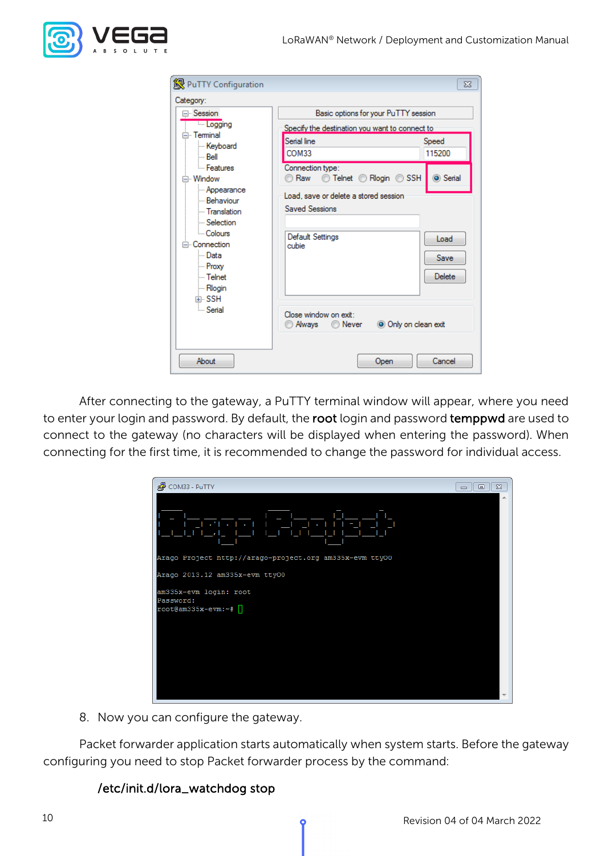

| PuTTY Configuration                                                                               |                                                                                                                                                                        | $\Sigma$                  |
|---------------------------------------------------------------------------------------------------|------------------------------------------------------------------------------------------------------------------------------------------------------------------------|---------------------------|
| Category:                                                                                         |                                                                                                                                                                        |                           |
| ⊟- Session<br><b>Logging</b><br>⊟⊹ Terminal<br>- Keyboard<br>i⊹ Bell<br>- Features<br>⊟ Window    | Basic options for your PuTTY session<br>Specify the destination you want to connect to<br>Serial line<br>COM33<br>Connection type:<br>◯ Telnet ◯ Rlogin ◯ SSH<br>© Raw | Speed<br>115200<br>Serial |
| - Appearance<br>- Behaviour<br>- Translation<br>Selection<br>- Colours<br>⊟ Connection<br>l… Data | Load, save or delete a stored session<br><b>Saved Sessions</b><br><b>Default Settings</b><br>cubie                                                                     | Load<br>Save              |
| i… Proxv<br>≔ Telnet<br><b>Rlogin</b><br>中·SSH<br><b>Serial</b>                                   | Close window on exit:<br>Always<br>O Only on clean exit<br>◯ Never                                                                                                     | Delete                    |
| About                                                                                             | Open                                                                                                                                                                   | Cancel                    |

After connecting to the gateway, a PuTTY terminal window will appear, where you need to enter your login and password. By default, the root login and password temppwd are used to connect to the gateway (no characters will be displayed when entering the password). When connecting for the first time, it is recommended to change the password for individual access.

| 图 COM33 - PuTTY                                              | $\Sigma$<br>E |
|--------------------------------------------------------------|---------------|
| 14.<br>$\sim$ 1 $\sim$                                       |               |
| Arago Project http://arago-project.org am335x-evm tty00      |               |
| Arago 2013.12 am335x-evm tty00                               |               |
| am335x-evm login: root<br>Password:<br>$root@am335x-evm:-$ # |               |
|                                                              |               |

8. Now you can configure the gateway.

Packet forwarder application starts automatically when system starts. Before the gateway configuring you need to stop Packet forwarder process by the command:

#### /etc/init.d/lora\_watchdog stop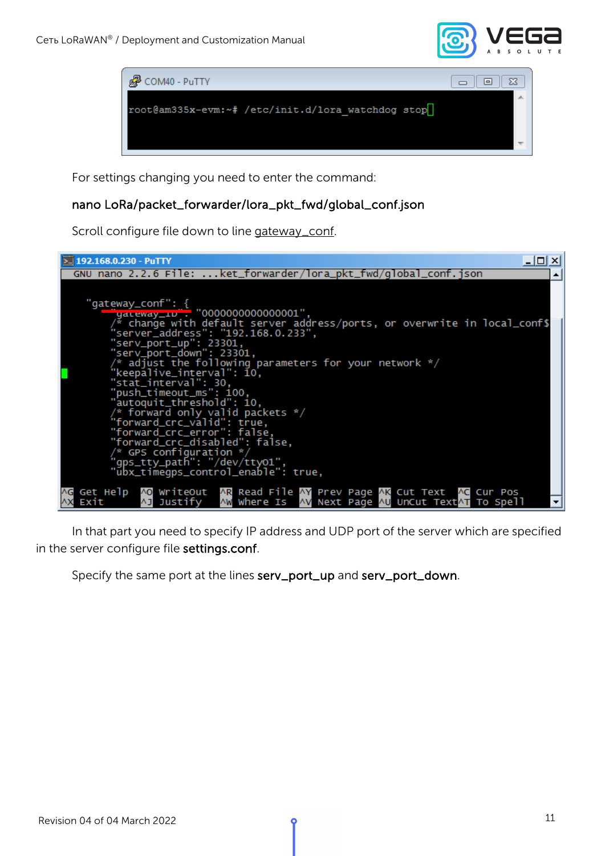



For settings changing you need to enter the command:

#### nano LoRa/packet\_forwarder/lora\_pkt\_fwd/global\_conf.json

Scroll configure file down to line gateway\_conf.



In that part you need to specify IP address and UDP port of the server which are specified in the server configure file settings.conf.

Specify the same port at the lines serv\_port\_up and serv\_port\_down.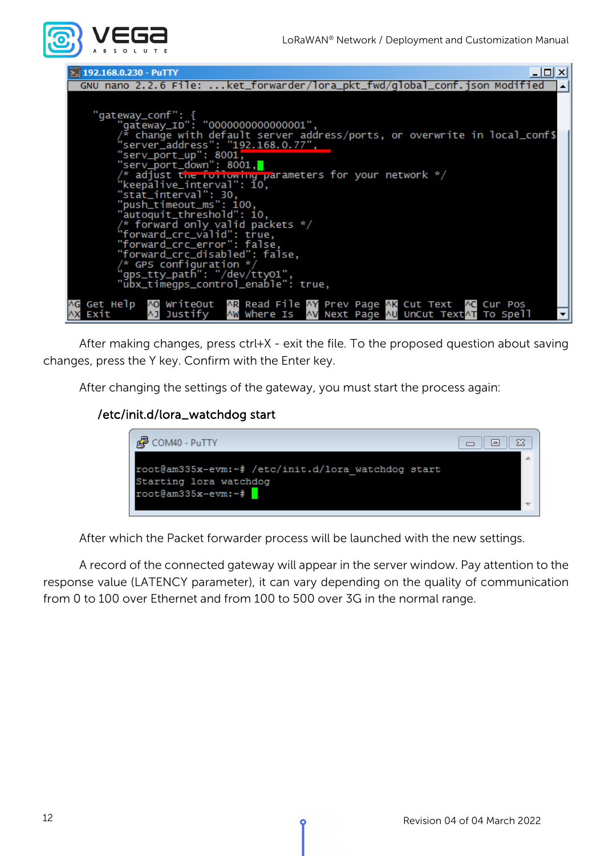



After making changes, press ctrl+X - exit the file. To the proposed question about saving changes, press the Y key. Confirm with the Enter key.

After changing the settings of the gateway, you must start the process again:

#### /etc/init.d/lora\_watchdog start



After which the Packet forwarder process will be launched with the new settings.

A record of the connected gateway will appear in the server window. Pay attention to the response value (LATENCY parameter), it can vary depending on the quality of communication from 0 to 100 over Ethernet and from 100 to 500 over 3G in the normal range.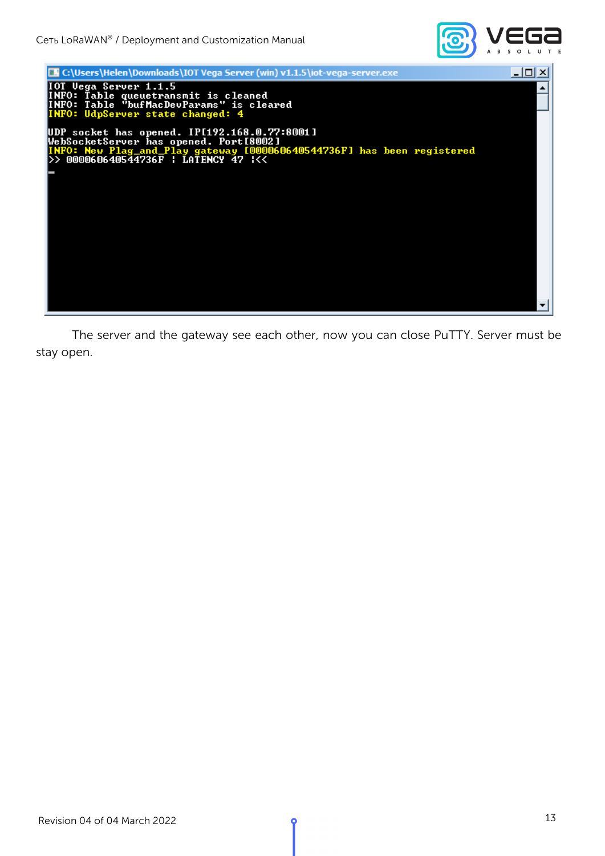



The server and the gateway see each other, now you can close PuTTY. Server must be stay open.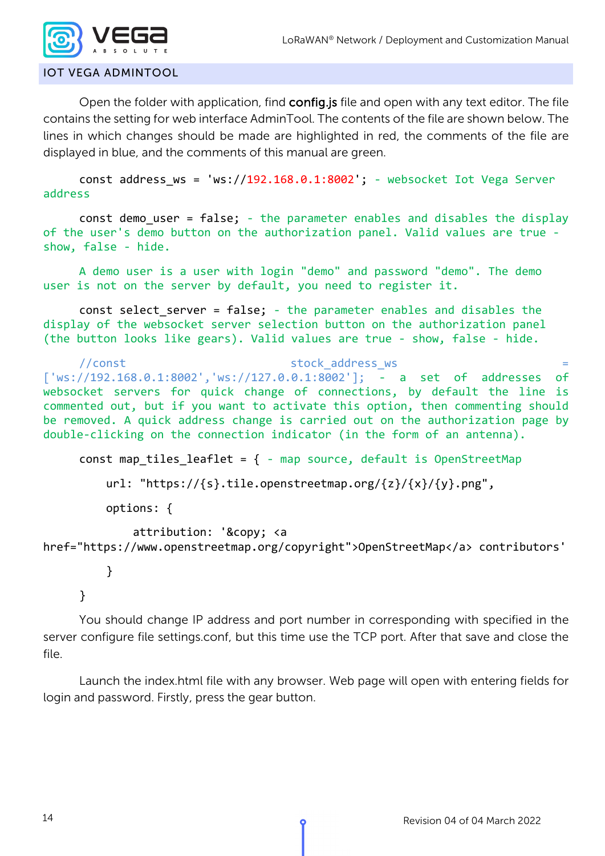

#### <span id="page-13-0"></span>IOT VEGA ADMINTOOL

Open the folder with application, find config.js file and open with any text editor. The file contains the setting for web interface AdminTool. The contents of the file are shown below. The lines in which changes should be made are highlighted in red, the comments of the file are displayed in blue, and the comments of this manual are green.

const address  $ws = 'ws://192.168.0.1:8002$ ; - websocket Iot Vega Server address

const demo user = false; - the parameter enables and disables the display of the user's demo button on the authorization panel. Valid values are true show, false - hide.

A demo user is a user with login "demo" and password "demo". The demo user is not on the server by default, you need to register it.

const select server = false; - the parameter enables and disables the display of the websocket server selection button on the authorization panel (the button looks like gears). Valid values are true - show, false - hide.

//const stock address ws ['ws://192.168.0.1:8002','ws://127.0.0.1:8002']; - a set of addresses of websocket servers for quick change of connections, by default the line is commented out, but if you want to activate this option, then commenting should be removed. A quick address change is carried out on the authorization page by double-clicking on the connection indicator (in the form of an antenna).

```
const map_tiles_leaflet = { - map source, default is OpenStreetMap
    url: "https://{s}.tile.openstreetmap.org/{z}/{x}/{y}.png",
    options: {
        attribution: '© <a
```
href="https://www.openstreetmap.org/copyright">OpenStreetMap</a> contributors'

}

}

You should change IP address and port number in corresponding with specified in the server configure file settings.conf, but this time use the TCP port. After that save and close the file.

Launch the index.html file with any browser. Web page will open with entering fields for login and password. Firstly, press the gear button.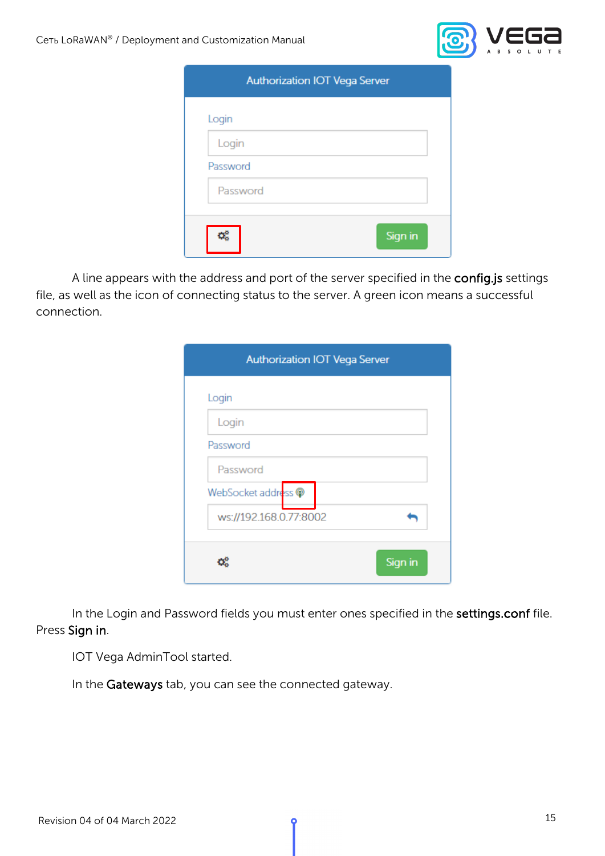

| Login    |  |
|----------|--|
| Login    |  |
| Password |  |
| Password |  |
|          |  |

A line appears with the address and port of the server specified in the config.js settings file, as well as the icon of connecting status to the server. A green icon means a successful connection.

|                                | Authorization IOT Vega Server |
|--------------------------------|-------------------------------|
| Login                          |                               |
| Login                          |                               |
| Password                       |                               |
| Password                       |                               |
| WebSocket address <sup>@</sup> |                               |
| ws://192.168.0.77:8002         |                               |
|                                | Sign in                       |

In the Login and Password fields you must enter ones specified in the settings.conf file. Press Sign in.

IOT Vega AdminTool started.

In the Gateways tab, you can see the connected gateway.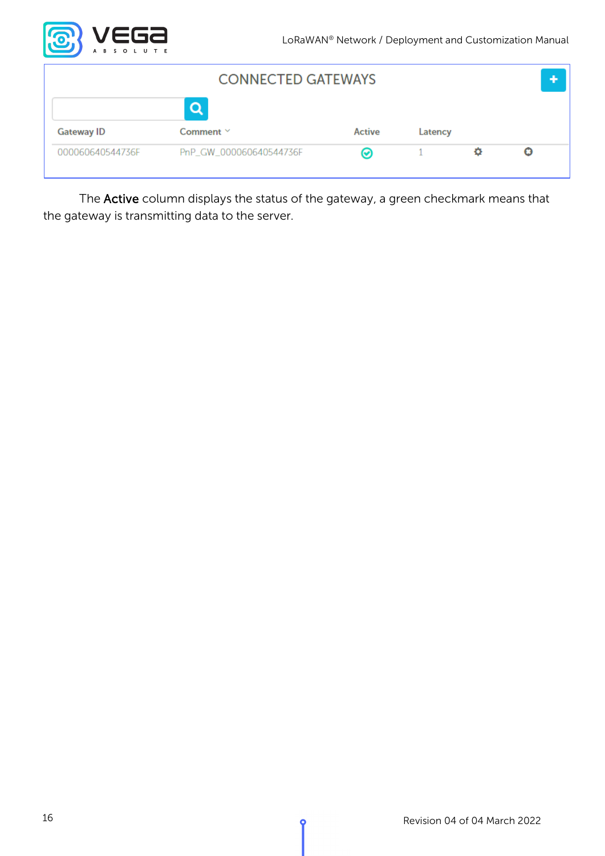

| <b>CONNECTED GATEWAYS</b> |                         |               |         |  |  |
|---------------------------|-------------------------|---------------|---------|--|--|
|                           |                         |               |         |  |  |
| <b>Gateway ID</b>         | Comment $\vee$          | <b>Active</b> | Latency |  |  |
| 000060640544736F          | PnP_GW_000060640544736F | Ø             |         |  |  |

The Active column displays the status of the gateway, a green checkmark means that the gateway is transmitting data to the server.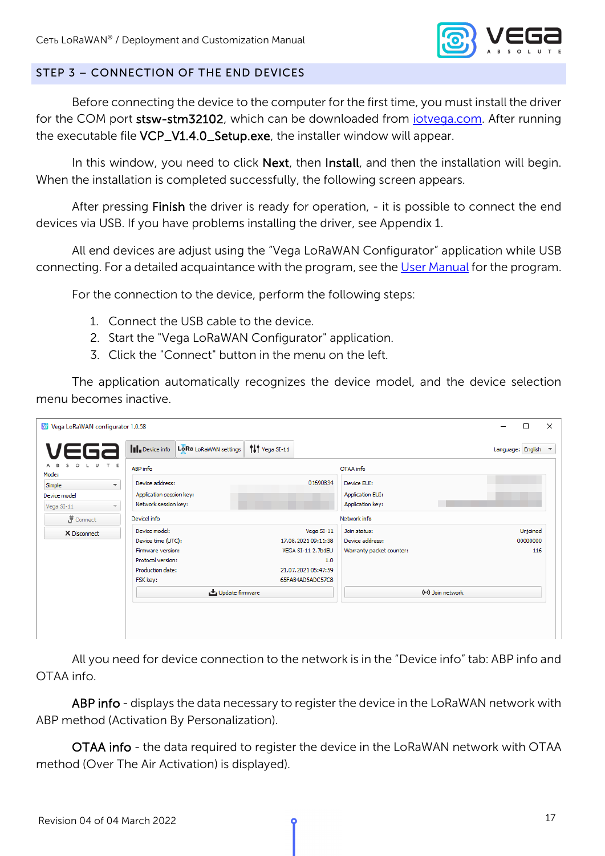

#### <span id="page-16-0"></span>STEP 3 – CONNECTION OF THE END DEVICES

Before connecting the device to the computer for the first time, you must install the driver for the COM port stsw-stm32102, which can be downloaded from [iotvega.com.](https://en.iotvega.com/) After running the executable file VCP\_V1.4.0\_Setup.exe, the installer window will appear.

In this window, you need to click Next, then Install, and then the installation will begin. When the installation is completed successfully, the following screen appears.

After pressing Finish the driver is ready for operation, - it is possible to connect the end devices via USB. If you have problems installing the driver, see Appendix 1.

All end devices are adjust using the "Vega LoRaWAN Configurator" application while USB connecting. For a detailed acquaintance with the program, see the [User Manual](https://en.iotvega.com/soft/config) for the program.

For the connection to the device, perform the following steps:

- 1. Connect the USB cable to the device.
- 2. Start the "Vega LoRaWAN Configurator" application.
- 3. Click the "Connect" button in the menu on the left.

The application automatically recognizes the device model, and the device selection menu becomes inactive.

| Vega LoRaWAN configurator 1.0.58  |                          |                                   |               |                     |                          | □                                |
|-----------------------------------|--------------------------|-----------------------------------|---------------|---------------------|--------------------------|----------------------------------|
| VEGa                              |                          | Device info LORa LoRaWAN settings | to Vega SI-11 |                     |                          | Language: English $\overline{ }$ |
| A B S O L U T E<br>Mode:          | ABP info                 |                                   |               |                     | OTAA info                |                                  |
| Simple<br>$\overline{\mathbf{v}}$ | Device address:          |                                   |               | 01690834            | Device EUI:              |                                  |
| Device model                      | Application session key: |                                   |               |                     | <b>Application EUI:</b>  |                                  |
| Vega SI-11                        | Network session key:     |                                   |               |                     | Application key:         |                                  |
| <b>、亨</b> Connect                 | Devicel info             |                                   |               |                     | Network info             |                                  |
| X Disconnect                      | Device model:            |                                   |               | Vega SI-11          | Join status:             | Unjoined                         |
|                                   | Device time (UTC):       |                                   |               | 17.08.2021 09:11:38 | Device address:          | 00000000                         |
|                                   | Firmware version:        |                                   |               | VEGA SI-11 2.7b1EU  | Warranty packet counter: | 116                              |
|                                   | Protocol version:        |                                   |               | 1.0                 |                          |                                  |
|                                   | Production date:         |                                   |               | 21.07.2021 05:47:59 |                          |                                  |
|                                   | FSK key:                 |                                   |               | 65FAB4AD5ADC57C8    |                          |                                  |
|                                   |                          | Update firmware                   |               |                     | ((.) Join network        |                                  |

All you need for device connection to the network is in the "Device info" tab: ABP info and OTAA info.

ABP info - displays the data necessary to register the device in the LoRaWAN network with ABP method (Activation By Personalization).

OTAA info - the data required to register the device in the LoRaWAN network with OTAA method (Over The Air Activation) is displayed).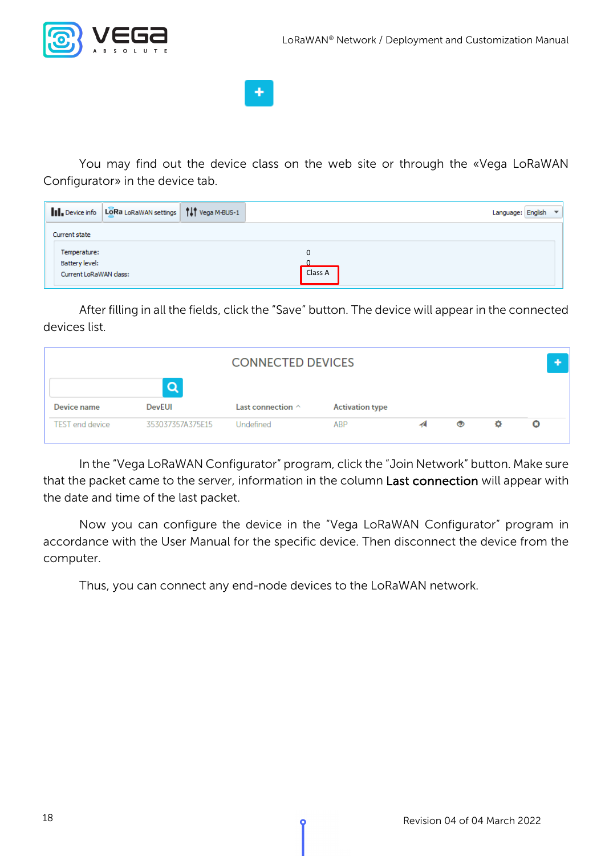



You may find out the device class on the web site or through the «Vega LoRaWAN Configurator» in the device tab.

|                        | Device info   LORa LoRaWAN settings   11 Vega M-BUS-1 |         | Language: English |
|------------------------|-------------------------------------------------------|---------|-------------------|
| Current state          |                                                       |         |                   |
| Temperature:           |                                                       |         |                   |
| Battery level:         |                                                       |         |                   |
| Current LoRaWAN class: |                                                       | Class A |                   |

After filling in all the fields, click the "Save" button. The device will appear in the connected devices list.

| <b>CONNECTED DEVICES</b> |                  |                          |                        |   |   |  |   |
|--------------------------|------------------|--------------------------|------------------------|---|---|--|---|
|                          | Q                |                          |                        |   |   |  |   |
| Device name              | <b>DevEUI</b>    | Last connection $\wedge$ | <b>Activation type</b> |   |   |  |   |
| <b>TEST</b> end device   | 353037357A375E15 | Undefined                | ABP                    | ◢ | ◉ |  | Θ |

In the "Vega LoRaWAN Configurator" program, click the "Join Network" button. Make sure that the packet came to the server, information in the column Last connection will appear with the date and time of the last packet.

Now you can configure the device in the "Vega LoRaWAN Configurator" program in accordance with the User Manual for the specific device. Then disconnect the device from the computer.

Thus, you can connect any end-node devices to the LoRaWAN network.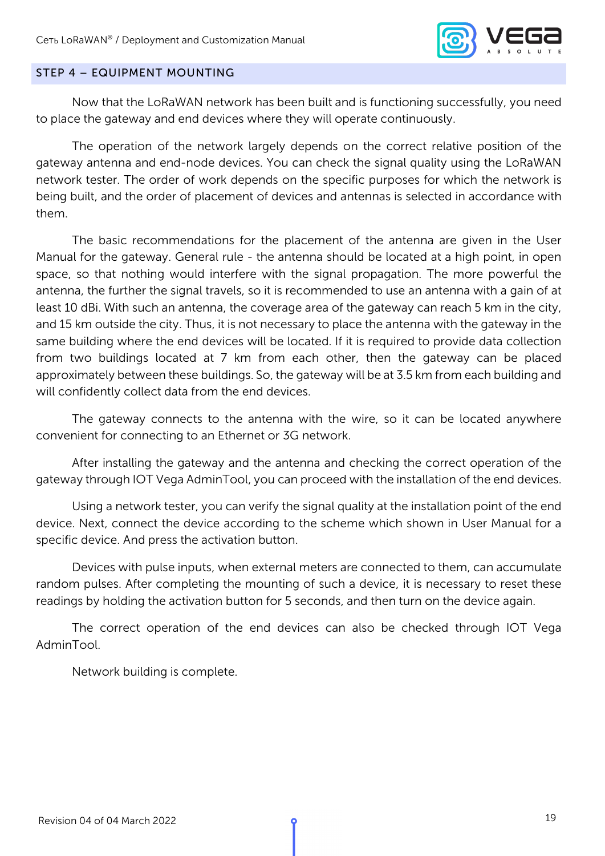

#### <span id="page-18-0"></span>STEP 4 – EQUIPMENT MOUNTING

Now that the LoRaWAN network has been built and is functioning successfully, you need to place the gateway and end devices where they will operate continuously.

The operation of the network largely depends on the correct relative position of the gateway antenna and end-node devices. You can check the signal quality using the LoRaWAN network tester. The order of work depends on the specific purposes for which the network is being built, and the order of placement of devices and antennas is selected in accordance with them.

The basic recommendations for the placement of the antenna are given in the User Manual for the gateway. General rule - the antenna should be located at a high point, in open space, so that nothing would interfere with the signal propagation. The more powerful the antenna, the further the signal travels, so it is recommended to use an antenna with a gain of at least 10 dBi. With such an antenna, the coverage area of the gateway can reach 5 km in the city, and 15 km outside the city. Thus, it is not necessary to place the antenna with the gateway in the same building where the end devices will be located. If it is required to provide data collection from two buildings located at 7 km from each other, then the gateway can be placed approximately between these buildings. So, the gateway will be at 3.5 km from each building and will confidently collect data from the end devices.

The gateway connects to the antenna with the wire, so it can be located anywhere convenient for connecting to an Ethernet or 3G network.

After installing the gateway and the antenna and checking the correct operation of the gateway through IOT Vega AdminTool, you can proceed with the installation of the end devices.

Using a network tester, you can verify the signal quality at the installation point of the end device. Next, connect the device according to the scheme which shown in User Manual for a specific device. And press the activation button.

Devices with pulse inputs, when external meters are connected to them, can accumulate random pulses. After completing the mounting of such a device, it is necessary to reset these readings by holding the activation button for 5 seconds, and then turn on the device again.

The correct operation of the end devices can also be checked through IOT Vega AdminTool.

Network building is complete.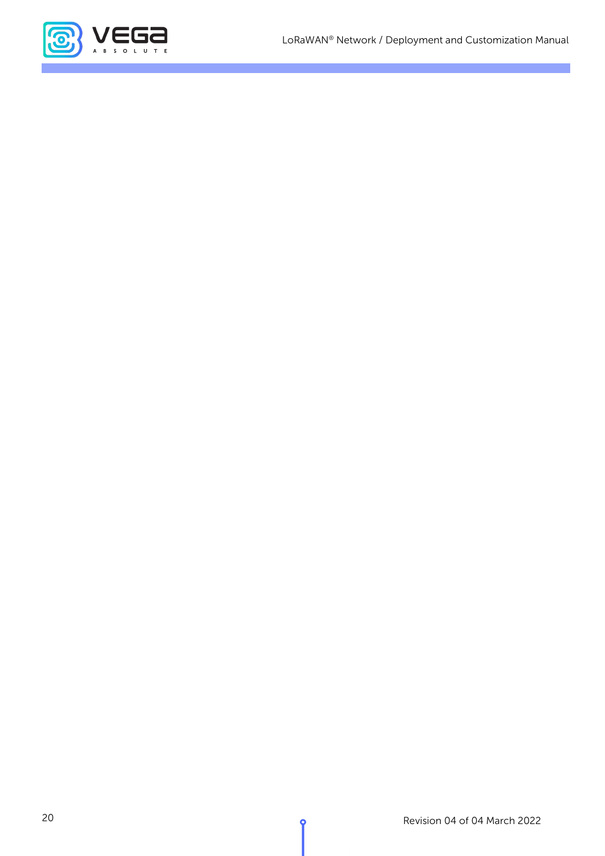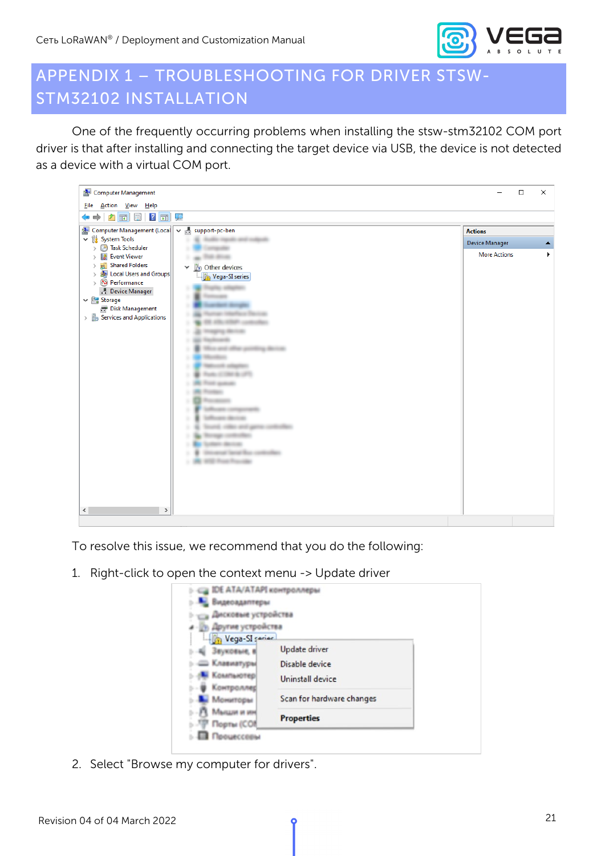

## <span id="page-20-0"></span>APPENDIX 1 – TROUBLESHOOTING FOR DRIVER STSW-STM32102 INSTALLATION

One of the frequently occurring problems when installing the stsw-stm32102 COM port driver is that after installing and connecting the target device via USB, the device is not detected as a device with a virtual COM port.



To resolve this issue, we recommend that you do the following:

1. Right-click to open the context menu -> Update driver



2. Select "Browse my computer for drivers".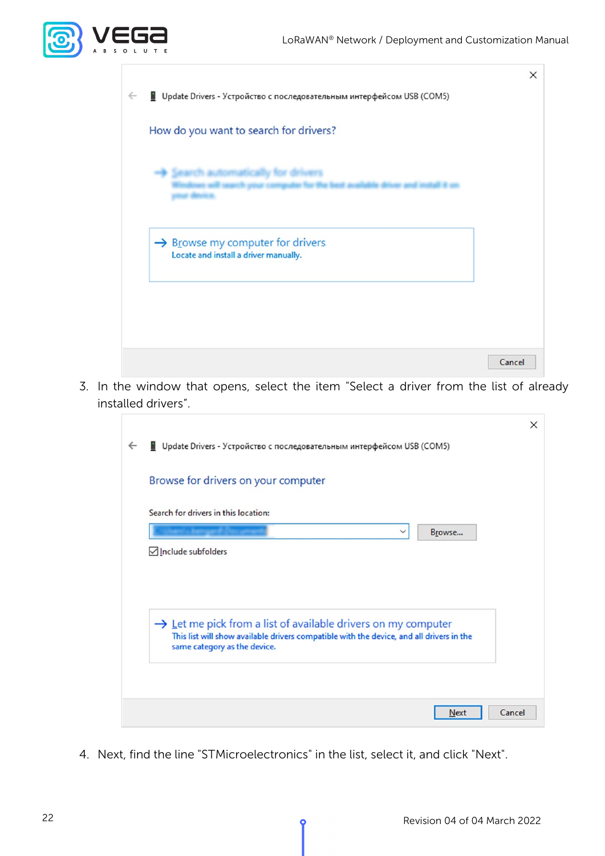

| How do you want to search for drivers?                                                |  |
|---------------------------------------------------------------------------------------|--|
|                                                                                       |  |
|                                                                                       |  |
| $\rightarrow$ Browse my computer for drivers<br>Locate and install a driver manually. |  |
|                                                                                       |  |
|                                                                                       |  |

3. In the window that opens, select the item "Select a driver from the list of already installed drivers".

|              |                                                                                                                          | X      |
|--------------|--------------------------------------------------------------------------------------------------------------------------|--------|
| $\leftarrow$ | Update Drivers - Устройство с последовательным интерфейсом USB (COM5)                                                    |        |
|              | Browse for drivers on your computer                                                                                      |        |
|              | Search for drivers in this location:                                                                                     |        |
|              | Browse<br>$\check{ }$                                                                                                    |        |
|              | Include subfolders                                                                                                       |        |
|              |                                                                                                                          |        |
|              |                                                                                                                          |        |
|              | $\rightarrow$ Let me pick from a list of available drivers on my computer                                                |        |
|              | This list will show available drivers compatible with the device, and all drivers in the<br>same category as the device. |        |
|              |                                                                                                                          |        |
|              |                                                                                                                          |        |
|              | <b>Next</b>                                                                                                              | Cancel |

4. Next, find the line "STMicroelectronics" in the list, select it, and click "Next".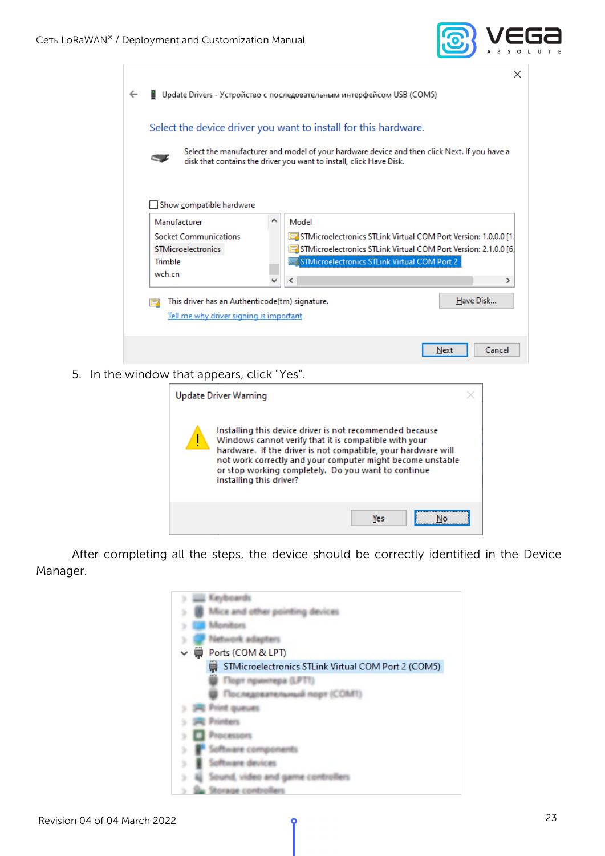

|                                                     |   | Update Drivers - Устройство с последовательным интерфейсом USB (COM5)                                                                                               |           |
|-----------------------------------------------------|---|---------------------------------------------------------------------------------------------------------------------------------------------------------------------|-----------|
|                                                     |   | Select the device driver you want to install for this hardware.                                                                                                     |           |
|                                                     |   | Select the manufacturer and model of your hardware device and then click Next. If you have a<br>disk that contains the driver you want to install, click Have Disk. |           |
| Show compatible hardware                            |   |                                                                                                                                                                     |           |
| Manufacturer                                        | ۸ | Model                                                                                                                                                               |           |
| <b>Socket Communications</b>                        |   | STMicroelectronics STLink Virtual COM Port Version: 1.0.0.0 [1.]                                                                                                    |           |
| <b>STMicroelectronics</b>                           |   | STMicroelectronics STLink Virtual COM Port Version: 2.1.0.0 [6]                                                                                                     |           |
| Trimble                                             |   | STMicroelectronics STLink Virtual COM Port 2                                                                                                                        |           |
| wch.cn                                              |   | ∢                                                                                                                                                                   | ⋗         |
| This driver has an Authenticode(tm) signature.<br>Q |   |                                                                                                                                                                     | Have Disk |
| Tell me why driver signing is important             |   |                                                                                                                                                                     |           |

5. In the window that appears, click "Yes".

| Update Driver Warning                                                                                                                                                                                                                                                                                                              |  |
|------------------------------------------------------------------------------------------------------------------------------------------------------------------------------------------------------------------------------------------------------------------------------------------------------------------------------------|--|
| Installing this device driver is not recommended because<br>Windows cannot verify that it is compatible with your<br>hardware. If the driver is not compatible, your hardware will<br>not work correctly and your computer might become unstable<br>or stop working completely. Do you want to continue<br>installing this driver? |  |
| Yes                                                                                                                                                                                                                                                                                                                                |  |

After completing all the steps, the device should be correctly identified in the Device Manager.

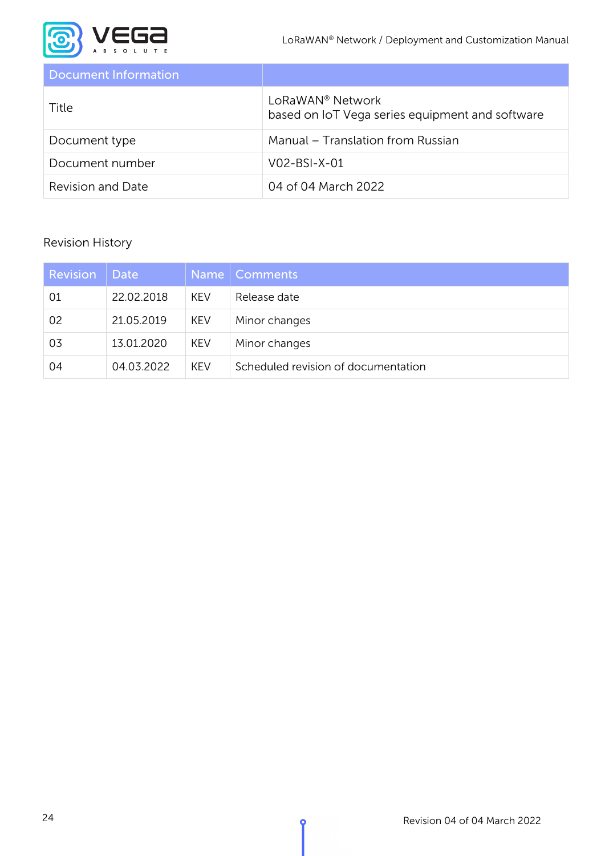

| Document Information |                                                                     |
|----------------------|---------------------------------------------------------------------|
| Title                | LoRaWAN® Network<br>based on IoT Vega series equipment and software |
| Document type        | Manual – Translation from Russian                                   |
| Document number      | $VO2-BSI-X-01$                                                      |
| Revision and Date    | 04 of 04 March 2022                                                 |

### <span id="page-23-0"></span>Revision History

| Revision | <b>Date</b> | <b>Name</b> | Comments                            |
|----------|-------------|-------------|-------------------------------------|
| 01       | 22.02.2018  | <b>KFV</b>  | Release date                        |
| 02       | 21.05.2019  | KEV         | Minor changes                       |
| 03       | 13.01.2020  | KEV         | Minor changes                       |
| 04       | 04.03.2022  | <b>KFV</b>  | Scheduled revision of documentation |